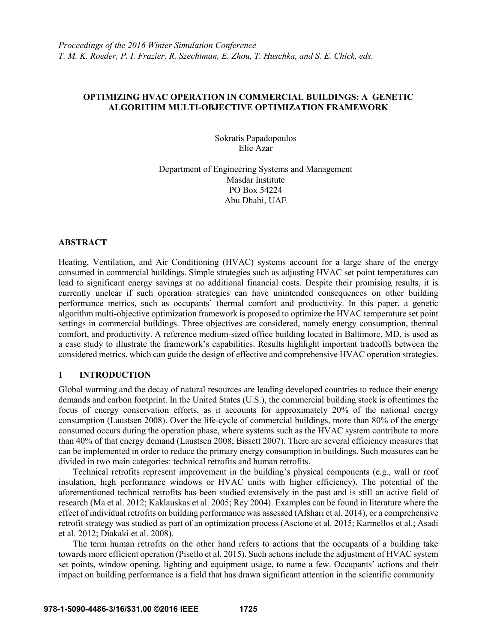# **OPTIMIZING HVAC OPERATION IN COMMERCIAL BUILDINGS: A GENETIC ALGORITHM MULTI-OBJECTIVE OPTIMIZATION FRAMEWORK**

Sokratis Papadopoulos Elie Azar

Department of Engineering Systems and Management Masdar Institute PO Box 54224 Abu Dhabi, UAE

### **ABSTRACT**

Heating, Ventilation, and Air Conditioning (HVAC) systems account for a large share of the energy consumed in commercial buildings. Simple strategies such as adjusting HVAC set point temperatures can lead to significant energy savings at no additional financial costs. Despite their promising results, it is currently unclear if such operation strategies can have unintended consequences on other building performance metrics, such as occupants' thermal comfort and productivity. In this paper, a genetic algorithm multi-objective optimization framework is proposed to optimize the HVAC temperature set point settings in commercial buildings. Three objectives are considered, namely energy consumption, thermal comfort, and productivity. A reference medium-sized office building located in Baltimore, MD, is used as a case study to illustrate the framework's capabilities. Results highlight important tradeoffs between the considered metrics, which can guide the design of effective and comprehensive HVAC operation strategies.

## **1 INTRODUCTION**

Global warming and the decay of natural resources are leading developed countries to reduce their energy demands and carbon footprint. In the United States (U.S.), the commercial building stock is oftentimes the focus of energy conservation efforts, as it accounts for approximately 20% of the national energy consumption (Laustsen 2008). Over the life-cycle of commercial buildings, more than 80% of the energy consumed occurs during the operation phase, where systems such as the HVAC system contribute to more than 40% of that energy demand (Laustsen 2008; Bissett 2007). There are several efficiency measures that can be implemented in order to reduce the primary energy consumption in buildings. Such measures can be divided in two main categories: technical retrofits and human retrofits.

Technical retrofits represent improvement in the building's physical components (e.g., wall or roof insulation, high performance windows or HVAC units with higher efficiency). The potential of the aforementioned technical retrofits has been studied extensively in the past and is still an active field of research (Ma et al. 2012; Kaklauskas et al. 2005; Rey 2004). Examples can be found in literature where the effect of individual retrofits on building performance was assessed (Afshari et al. 2014), or a comprehensive retrofit strategy was studied as part of an optimization process (Ascione et al. 2015; Karmellos et al.; Asadi et al. 2012; Diakaki et al. 2008).

The term human retrofits on the other hand refers to actions that the occupants of a building take towards more efficient operation (Pisello et al. 2015). Such actions include the adjustment of HVAC system set points, window opening, lighting and equipment usage, to name a few. Occupants' actions and their impact on building performance is a field that has drawn significant attention in the scientific community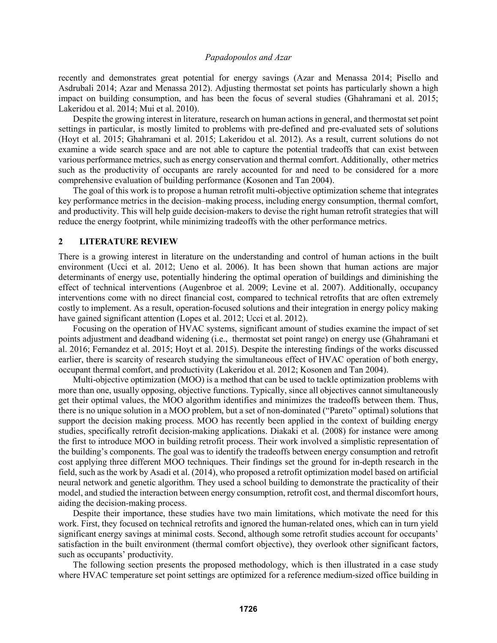recently and demonstrates great potential for energy savings (Azar and Menassa 2014; Pisello and Asdrubali 2014; Azar and Menassa 2012). Adjusting thermostat set points has particularly shown a high impact on building consumption, and has been the focus of several studies (Ghahramani et al. 2015; Lakeridou et al. 2014; Mui et al. 2010).

Despite the growing interest in literature, research on human actions in general, and thermostat set point settings in particular, is mostly limited to problems with pre-defined and pre-evaluated sets of solutions (Hoyt et al. 2015; Ghahramani et al. 2015; Lakeridou et al. 2012). As a result, current solutions do not examine a wide search space and are not able to capture the potential tradeoffs that can exist between various performance metrics, such as energy conservation and thermal comfort. Additionally, other metrics such as the productivity of occupants are rarely accounted for and need to be considered for a more comprehensive evaluation of building performance (Kosonen and Tan 2004).

The goal of this work is to propose a human retrofit multi-objective optimization scheme that integrates key performance metrics in the decision–making process, including energy consumption, thermal comfort, and productivity. This will help guide decision-makers to devise the right human retrofit strategies that will reduce the energy footprint, while minimizing tradeoffs with the other performance metrics.

### **2 LITERATURE REVIEW**

There is a growing interest in literature on the understanding and control of human actions in the built environment (Ucci et al. 2012; Ueno et al. 2006). It has been shown that human actions are major determinants of energy use, potentially hindering the optimal operation of buildings and diminishing the effect of technical interventions (Augenbroe et al. 2009; Levine et al. 2007). Additionally, occupancy interventions come with no direct financial cost, compared to technical retrofits that are often extremely costly to implement. As a result, operation-focused solutions and their integration in energy policy making have gained significant attention (Lopes et al. 2012; Ucci et al. 2012).

Focusing on the operation of HVAC systems, significant amount of studies examine the impact of set points adjustment and deadband widening (i.e., thermostat set point range) on energy use (Ghahramani et al. 2016; Fernandez et al. 2015; Hoyt et al. 2015). Despite the interesting findings of the works discussed earlier, there is scarcity of research studying the simultaneous effect of HVAC operation of both energy, occupant thermal comfort, and productivity (Lakeridou et al. 2012; Kosonen and Tan 2004).

Multi-objective optimization (MOO) is a method that can be used to tackle optimization problems with more than one, usually opposing, objective functions. Typically, since all objectives cannot simultaneously get their optimal values, the MOO algorithm identifies and minimizes the tradeoffs between them. Thus, there is no unique solution in a MOO problem, but a set of non-dominated ("Pareto" optimal) solutions that support the decision making process. MOO has recently been applied in the context of building energy studies, specifically retrofit decision-making applications. Diakaki et al. (2008) for instance were among the first to introduce MOO in building retrofit process. Their work involved a simplistic representation of the building's components. The goal was to identify the tradeoffs between energy consumption and retrofit cost applying three different MOO techniques. Their findings set the ground for in-depth research in the field, such as the work by Asadi et al. (2014), who proposed a retrofit optimization model based on artificial neural network and genetic algorithm. They used a school building to demonstrate the practicality of their model, and studied the interaction between energy consumption, retrofit cost, and thermal discomfort hours, aiding the decision-making process.

Despite their importance, these studies have two main limitations, which motivate the need for this work. First, they focused on technical retrofits and ignored the human-related ones, which can in turn yield significant energy savings at minimal costs. Second, although some retrofit studies account for occupants' satisfaction in the built environment (thermal comfort objective), they overlook other significant factors, such as occupants' productivity.

The following section presents the proposed methodology, which is then illustrated in a case study where HVAC temperature set point settings are optimized for a reference medium-sized office building in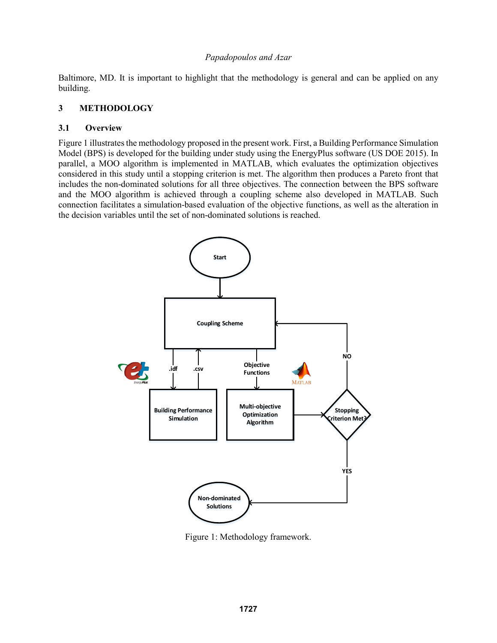Baltimore, MD. It is important to highlight that the methodology is general and can be applied on any building.

## **3 METHODOLOGY**

# **3.1 Overview**

Figure 1 illustrates the methodology proposed in the present work. First, a Building Performance Simulation Model (BPS) is developed for the building under study using the EnergyPlus software (US DOE 2015). In parallel, a MOO algorithm is implemented in MATLAB, which evaluates the optimization objectives considered in this study until a stopping criterion is met. The algorithm then produces a Pareto front that includes the non-dominated solutions for all three objectives. The connection between the BPS software and the MOO algorithm is achieved through a coupling scheme also developed in MATLAB. Such connection facilitates a simulation-based evaluation of the objective functions, as well as the alteration in the decision variables until the set of non-dominated solutions is reached.



Figure 1: Methodology framework.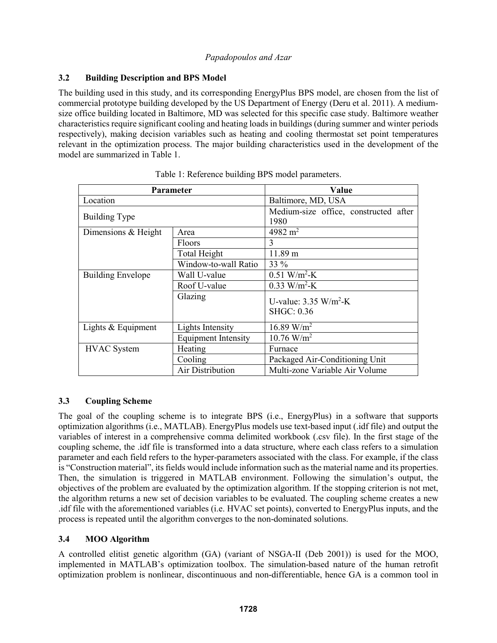# **3.2 Building Description and BPS Model**

The building used in this study, and its corresponding EnergyPlus BPS model, are chosen from the list of commercial prototype building developed by the US Department of Energy (Deru et al. 2011). A mediumsize office building located in Baltimore, MD was selected for this specific case study. Baltimore weather characteristics require significant cooling and heating loads in buildings (during summer and winter periods respectively), making decision variables such as heating and cooling thermostat set point temperatures relevant in the optimization process. The major building characteristics used in the development of the model are summarized in Table 1.

| <b>Parameter</b>         |                            | Value                                 |
|--------------------------|----------------------------|---------------------------------------|
| Location                 |                            | Baltimore, MD, USA                    |
| <b>Building Type</b>     |                            | Medium-size office, constructed after |
|                          |                            | 1980                                  |
| Dimensions & Height      | Area                       | 4982 $m2$                             |
|                          | Floors                     | 3                                     |
|                          | <b>Total Height</b>        | 11.89 m                               |
|                          | Window-to-wall Ratio       | 33 %                                  |
| <b>Building Envelope</b> | Wall U-value               | $0.51$ W/m <sup>2</sup> -K            |
|                          | Roof U-value               | $0.33$ W/m <sup>2</sup> -K            |
|                          | Glazing                    | U-value: $3.35$ W/m <sup>2</sup> -K   |
|                          |                            | <b>SHGC: 0.36</b>                     |
|                          |                            |                                       |
| Lights & Equipment       | Lights Intensity           | $16.89$ W/m <sup>2</sup>              |
|                          | <b>Equipment Intensity</b> | $10.76$ W/m <sup>2</sup>              |
| <b>HVAC</b> System       | Heating                    | Furnace                               |
|                          | Cooling                    | Packaged Air-Conditioning Unit        |
|                          | Air Distribution           | Multi-zone Variable Air Volume        |

Table 1: Reference building BPS model parameters.

# **3.3 Coupling Scheme**

The goal of the coupling scheme is to integrate BPS (i.e., EnergyPlus) in a software that supports optimization algorithms (i.e., MATLAB). EnergyPlus models use text-based input (.idf file) and output the variables of interest in a comprehensive comma delimited workbook (.csv file). In the first stage of the coupling scheme, the .idf file is transformed into a data structure, where each class refers to a simulation parameter and each field refers to the hyper-parameters associated with the class. For example, if the class is "Construction material", its fields would include information such as the material name and its properties. Then, the simulation is triggered in MATLAB environment. Following the simulation's output, the objectives of the problem are evaluated by the optimization algorithm. If the stopping criterion is not met, the algorithm returns a new set of decision variables to be evaluated. The coupling scheme creates a new .idf file with the aforementioned variables (i.e. HVAC set points), converted to EnergyPlus inputs, and the process is repeated until the algorithm converges to the non-dominated solutions.

# **3.4 MOO Algorithm**

A controlled elitist genetic algorithm (GA) (variant of NSGA-II (Deb 2001)) is used for the MOO, implemented in MATLAB's optimization toolbox. The simulation-based nature of the human retrofit optimization problem is nonlinear, discontinuous and non-differentiable, hence GA is a common tool in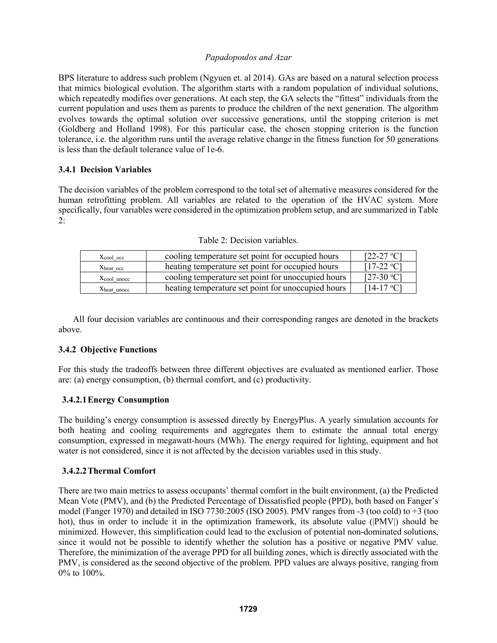BPS literature to address such problem (Ngyuen et. al 2014). GAs are based on a natural selection process that mimics biological evolution. The algorithm starts with a random population of individual solutions, which repeatedly modifies over generations. At each step, the GA selects the "fittest" individuals from the current population and uses them as parents to produce the children of the next generation. The algorithm evolves towards the optimal solution over successive generations, until the stopping criterion is met (Goldberg and Holland 1998). For this particular case, the chosen stopping criterion is the function tolerance, i.e. the algorithm runs until the average relative change in the fitness function for 50 generations is less than the default tolerance value of 1e-6.

# **3.4.1 Decision Variables**

The decision variables of the problem correspond to the total set of alternative measures considered for the human retrofitting problem. All variables are related to the operation of the HVAC system. More specifically, four variables were considered in the optimization problem setup, and are summarized in Table  $2^{\cdot}$ 

| Xcool occ             | cooling temperature set point for occupied hours   | $[22-27 °C]$ |
|-----------------------|----------------------------------------------------|--------------|
| X <sub>heat</sub> occ | heating temperature set point for occupied hours   | $[17-22 °C]$ |
| Xcool unocc           | cooling temperature set point for unoccupied hours | $[27-30$ °C] |
| Xheat unocc           | heating temperature set point for unoccupied hours | [14-17 °C]   |

| Table 2: Decision variables. |  |
|------------------------------|--|
|------------------------------|--|

All four decision variables are continuous and their corresponding ranges are denoted in the brackets above.

## **3.4.2 Objective Functions**

For this study the tradeoffs between three different objectives are evaluated as mentioned earlier. Those are: (a) energy consumption, (b) thermal comfort, and (c) productivity.

# **3.4.2.1Energy Consumption**

The building's energy consumption is assessed directly by EnergyPlus. A yearly simulation accounts for both heating and cooling requirements and aggregates them to estimate the annual total energy consumption, expressed in megawatt-hours (MWh). The energy required for lighting, equipment and hot water is not considered, since it is not affected by the decision variables used in this study.

## **3.4.2.2Thermal Comfort**

There are two main metrics to assess occupants' thermal comfort in the built environment, (a) the Predicted Mean Vote (PMV), and (b) the Predicted Percentage of Dissatisfied people (PPD), both based on Fanger's model (Fanger 1970) and detailed in ISO 7730:2005 (ISO 2005). PMV ranges from -3 (too cold) to +3 (too hot), thus in order to include it in the optimization framework, its absolute value ( $|PMV|$ ) should be minimized. However, this simplification could lead to the exclusion of potential non-dominated solutions, since it would not be possible to identify whether the solution has a positive or negative PMV value. Therefore, the minimization of the average PPD for all building zones, which is directly associated with the PMV, is considered as the second objective of the problem. PPD values are always positive, ranging from 0% to 100%.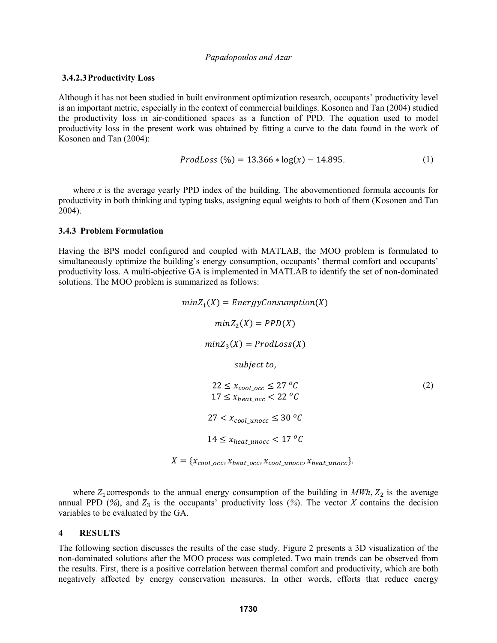### **3.4.2.3Productivity Loss**

Although it has not been studied in built environment optimization research, occupants' productivity level is an important metric, especially in the context of commercial buildings. Kosonen and Tan (2004) studied the productivity loss in air-conditioned spaces as a function of PPD. The equation used to model productivity loss in the present work was obtained by fitting a curve to the data found in the work of Kosonen and Tan (2004):

*Products* (
$$
\%
$$
) = 13.366 \* log(*x*) – 14.895. (1)

where *x* is the average yearly PPD index of the building. The abovementioned formula accounts for productivity in both thinking and typing tasks, assigning equal weights to both of them (Kosonen and Tan 2004).

#### **3.4.3 Problem Formulation**

Having the BPS model configured and coupled with MATLAB, the MOO problem is formulated to simultaneously optimize the building's energy consumption, occupants' thermal comfort and occupants' productivity loss. A multi-objective GA is implemented in MATLAB to identify the set of non-dominated solutions. The MOO problem is summarized as follows:

$$
minZ_{1}(X) = EnergyConsumption(X)
$$
\n
$$
minZ_{2}(X) = PPD(X)
$$
\n
$$
minZ_{3}(X) = ProdLoss(X)
$$
\n
$$
subject\ to,
$$
\n
$$
22 \leq x_{cool\_occ} \leq 27 \, {}^{o}C
$$
\n
$$
17 \leq x_{heat\_occ} \leq 22 \, {}^{o}C
$$
\n
$$
27 < x_{cool\_unocc} \leq 30 \, {}^{o}C
$$
\n
$$
14 \leq x_{heat\_unocc} < 17 \, {}^{o}C
$$
\n
$$
X = \{x_{cool\_occ}, x_{heat\_occ}, x_{cool\_unocc}, x_{heat\_unocc}\}.
$$

where  $Z_1$  corresponds to the annual energy consumption of the building in  $MWh$ ,  $Z_2$  is the average annual PPD (%), and  $Z_3$  is the occupants' productivity loss (%). The vector *X* contains the decision variables to be evaluated by the GA.

#### **4 RESULTS**

The following section discusses the results of the case study. Figure 2 presents a 3D visualization of the non-dominated solutions after the MOO process was completed. Two main trends can be observed from the results. First, there is a positive correlation between thermal comfort and productivity, which are both negatively affected by energy conservation measures. In other words, efforts that reduce energy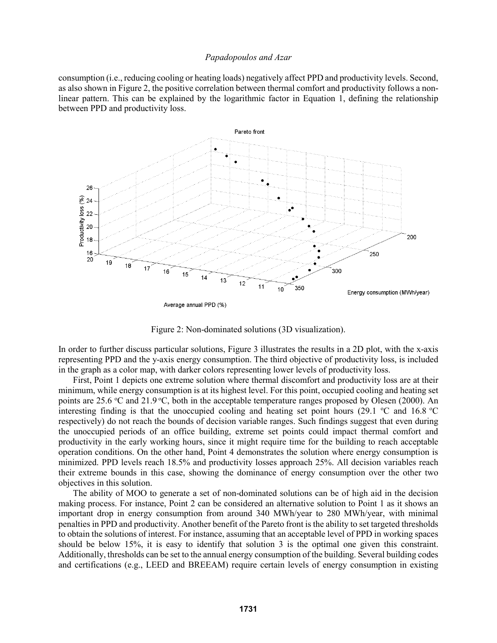consumption (i.e., reducing cooling or heating loads) negatively affect PPD and productivity levels. Second, as also shown in Figure 2, the positive correlation between thermal comfort and productivity follows a nonlinear pattern. This can be explained by the logarithmic factor in Equation 1, defining the relationship between PPD and productivity loss.



Figure 2: Non-dominated solutions (3D visualization).

In order to further discuss particular solutions, Figure 3 illustrates the results in a 2D plot, with the x-axis representing PPD and the y-axis energy consumption. The third objective of productivity loss, is included in the graph as a color map, with darker colors representing lower levels of productivity loss.

First, Point 1 depicts one extreme solution where thermal discomfort and productivity loss are at their minimum, while energy consumption is at its highest level. For this point, occupied cooling and heating set points are 25.6 °C and 21.9 °C, both in the acceptable temperature ranges proposed by Olesen (2000). An interesting finding is that the unoccupied cooling and heating set point hours (29.1 °C and 16.8 °C respectively) do not reach the bounds of decision variable ranges. Such findings suggest that even during the unoccupied periods of an office building, extreme set points could impact thermal comfort and productivity in the early working hours, since it might require time for the building to reach acceptable operation conditions. On the other hand, Point 4 demonstrates the solution where energy consumption is minimized. PPD levels reach 18.5% and productivity losses approach 25%. All decision variables reach their extreme bounds in this case, showing the dominance of energy consumption over the other two objectives in this solution.

The ability of MOO to generate a set of non-dominated solutions can be of high aid in the decision making process. For instance, Point 2 can be considered an alternative solution to Point 1 as it shows an important drop in energy consumption from around 340 MWh/year to 280 MWh/year, with minimal penalties in PPD and productivity. Another benefit of the Pareto front is the ability to set targeted thresholds to obtain the solutions of interest. For instance, assuming that an acceptable level of PPD in working spaces should be below 15%, it is easy to identify that solution 3 is the optimal one given this constraint. Additionally, thresholds can be set to the annual energy consumption of the building. Several building codes and certifications (e.g., LEED and BREEAM) require certain levels of energy consumption in existing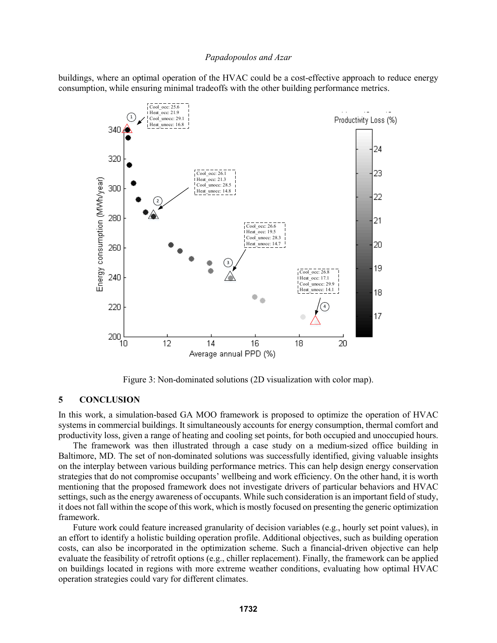buildings, where an optimal operation of the HVAC could be a cost-effective approach to reduce energy consumption, while ensuring minimal tradeoffs with the other building performance metrics.



Figure 3: Non-dominated solutions (2D visualization with color map).

### **5 CONCLUSION**

In this work, a simulation-based GA MOO framework is proposed to optimize the operation of HVAC systems in commercial buildings. It simultaneously accounts for energy consumption, thermal comfort and productivity loss, given a range of heating and cooling set points, for both occupied and unoccupied hours.

The framework was then illustrated through a case study on a medium-sized office building in Baltimore, MD. The set of non-dominated solutions was successfully identified, giving valuable insights on the interplay between various building performance metrics. This can help design energy conservation strategies that do not compromise occupants' wellbeing and work efficiency. On the other hand, it is worth mentioning that the proposed framework does not investigate drivers of particular behaviors and HVAC settings, such as the energy awareness of occupants. While such consideration is an important field of study, it does not fall within the scope of this work, which is mostly focused on presenting the generic optimization framework.

Future work could feature increased granularity of decision variables (e.g., hourly set point values), in an effort to identify a holistic building operation profile. Additional objectives, such as building operation costs, can also be incorporated in the optimization scheme. Such a financial-driven objective can help evaluate the feasibility of retrofit options (e.g., chiller replacement). Finally, the framework can be applied on buildings located in regions with more extreme weather conditions, evaluating how optimal HVAC operation strategies could vary for different climates.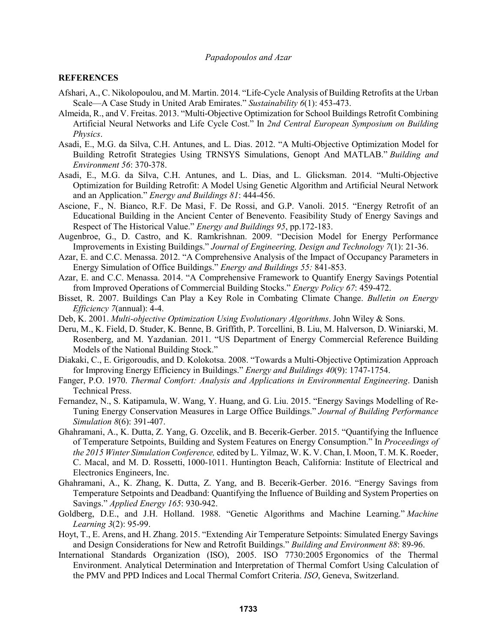### **REFERENCES**

- Afshari, A., C. Nikolopoulou, and M. Martin. 2014. "Life-Cycle Analysis of Building Retrofits at the Urban Scale—A Case Study in United Arab Emirates." *Sustainability 6*(1): 453-473.
- Almeida, R., and V. Freitas. 2013. "Multi-Objective Optimization for School Buildings Retrofit Combining Artificial Neural Networks and Life Cycle Cost." In *2nd Central European Symposium on Building Physics*.
- Asadi, E., M.G. da Silva, C.H. Antunes, and L. Dias. 2012. "A Multi-Objective Optimization Model for Building Retrofit Strategies Using TRNSYS Simulations, Genopt And MATLAB." *Building and Environment 56*: 370-378.
- Asadi, E., M.G. da Silva, C.H. Antunes, and L. Dias, and L. Glicksman. 2014. "Multi-Objective Optimization for Building Retrofit: A Model Using Genetic Algorithm and Artificial Neural Network and an Application." *Energy and Buildings 81*: 444-456.
- Ascione, F., N. Bianco, R.F. De Masi, F. De Rossi, and G.P. Vanoli. 2015. "Energy Retrofit of an Educational Building in the Ancient Center of Benevento. Feasibility Study of Energy Savings and Respect of The Historical Value." *Energy and Buildings 95*, pp.172-183.
- Augenbroe, G., D. Castro, and K. Ramkrishnan. 2009. "Decision Model for Energy Performance Improvements in Existing Buildings." *Journal of Engineering, Design and Technology 7*(1): 21-36.
- Azar, E. and C.C. Menassa. 2012. "A Comprehensive Analysis of the Impact of Occupancy Parameters in Energy Simulation of Office Buildings." *Energy and Buildings 55:* 841-853.
- Azar, E. and C.C. Menassa. 2014. "A Comprehensive Framework to Quantify Energy Savings Potential from Improved Operations of Commercial Building Stocks." *Energy Policy 67*: 459-472.
- Bisset, R. 2007. Buildings Can Play a Key Role in Combating Climate Change. *Bulletin on Energy Efficiency 7*(annual): 4-4.
- Deb, K. 2001. *Multi-objective Optimization Using Evolutionary Algorithms*. John Wiley & Sons.
- Deru, M., K. Field, D. Studer, K. Benne, B. Griffith, P. Torcellini, B. Liu, M. Halverson, D. Winiarski, M. Rosenberg, and M. Yazdanian. 2011. "US Department of Energy Commercial Reference Building Models of the National Building Stock."
- Diakaki, C., E. Grigoroudis, and D. Kolokotsa. 2008. "Towards a Multi-Objective Optimization Approach for Improving Energy Efficiency in Buildings." *Energy and Buildings 40*(9): 1747-1754.
- Fanger, P.O. 1970. *Thermal Comfort: Analysis and Applications in Environmental Engineering*. Danish Technical Press.
- Fernandez, N., S. Katipamula, W. Wang, Y. Huang, and G. Liu. 2015. "Energy Savings Modelling of Re-Tuning Energy Conservation Measures in Large Office Buildings." *Journal of Building Performance Simulation 8*(6): 391-407.
- Ghahramani, A., K. Dutta, Z. Yang, G. Ozcelik, and B. Becerik-Gerber. 2015. "Quantifying the Influence of Temperature Setpoints, Building and System Features on Energy Consumption." In *Proceedings of the 2015 Winter Simulation Conference,* edited by L. Yilmaz, W. K. V. Chan, I. Moon, T. M. K. Roeder, C. Macal, and M. D. Rossetti, 1000-1011. Huntington Beach, California: Institute of Electrical and Electronics Engineers, Inc.
- Ghahramani, A., K. Zhang, K. Dutta, Z. Yang, and B. Becerik-Gerber. 2016. "Energy Savings from Temperature Setpoints and Deadband: Quantifying the Influence of Building and System Properties on Savings." *Applied Energy 165*: 930-942.
- Goldberg, D.E., and J.H. Holland. 1988. "Genetic Algorithms and Machine Learning." *Machine Learning 3*(2): 95-99.
- Hoyt, T., E. Arens, and H. Zhang. 2015. "Extending Air Temperature Setpoints: Simulated Energy Savings and Design Considerations for New and Retrofit Buildings." *Building and Environment 88*: 89-96.
- International Standards Organization (ISO), 2005. ISO 7730:2005 Ergonomics of the Thermal Environment. Analytical Determination and Interpretation of Thermal Comfort Using Calculation of the PMV and PPD Indices and Local Thermal Comfort Criteria. *ISO*, Geneva, Switzerland.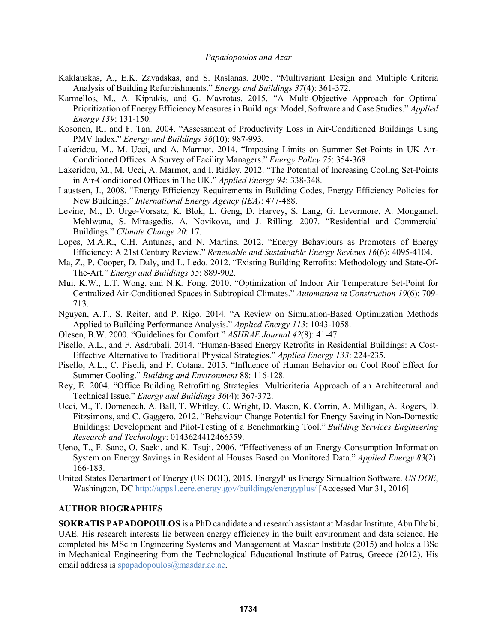- Kaklauskas, A., E.K. Zavadskas, and S. Raslanas. 2005. "Multivariant Design and Multiple Criteria Analysis of Building Refurbishments." *Energy and Buildings 37*(4): 361-372.
- Karmellos, M., A. Kiprakis, and G. Mavrotas. 2015. "A Multi-Objective Approach for Optimal Prioritization of Energy Efficiency Measures in Buildings: Model, Software and Case Studies." *Applied Energy 139*: 131-150.
- Kosonen, R., and F. Tan. 2004. "Assessment of Productivity Loss in Air-Conditioned Buildings Using PMV Index." *Energy and Buildings 36*(10): 987-993.
- Lakeridou, M., M. Ucci, and A. Marmot. 2014. "Imposing Limits on Summer Set-Points in UK Air-Conditioned Offices: A Survey of Facility Managers." *Energy Policy 75*: 354-368.
- Lakeridou, M., M. Ucci, A. Marmot, and I. Ridley. 2012. "The Potential of Increasing Cooling Set-Points in Air-Conditioned Offices in The UK." *Applied Energy 94*: 338-348.
- Laustsen, J., 2008. "Energy Efficiency Requirements in Building Codes, Energy Efficiency Policies for New Buildings." *International Energy Agency (IEA)*: 477-488.
- Levine, M., D. Ürge-Vorsatz, K. Blok, L. Geng, D. Harvey, S. Lang, G. Levermore, A. Mongameli Mehlwana, S. Mirasgedis, A. Novikova, and J. Rilling. 2007. "Residential and Commercial Buildings." *Climate Change 20*: 17.
- Lopes, M.A.R., C.H. Antunes, and N. Martins. 2012. "Energy Behaviours as Promoters of Energy Efficiency: A 21st Century Review." *Renewable and Sustainable Energy Reviews 16*(6): 4095-4104.
- Ma, Z., P. Cooper, D. Daly, and L. Ledo. 2012. "Existing Building Retrofits: Methodology and State-Of-The-Art." *Energy and Buildings 55*: 889-902.
- Mui, K.W., L.T. Wong, and N.K. Fong. 2010. "Optimization of Indoor Air Temperature Set-Point for Centralized Air-Conditioned Spaces in Subtropical Climates." *Automation in Construction 19*(6): 709- 713.
- Nguyen, A.T., S. Reiter, and P. Rigo. 2014. "A Review on Simulation-Based Optimization Methods Applied to Building Performance Analysis." *Applied Energy 113*: 1043-1058.
- Olesen, B.W. 2000. "Guidelines for Comfort." *ASHRAE Journal 42*(8): 41-47.
- Pisello, A.L., and F. Asdrubali. 2014. "Human-Based Energy Retrofits in Residential Buildings: A Cost-Effective Alternative to Traditional Physical Strategies." *Applied Energy 133*: 224-235.
- Pisello, A.L., C. Piselli, and F. Cotana. 2015. "Influence of Human Behavior on Cool Roof Effect for Summer Cooling." *Building and Environment* 88: 116-128.
- Rey, E. 2004. "Office Building Retrofitting Strategies: Multicriteria Approach of an Architectural and Technical Issue." *Energy and Buildings 36*(4): 367-372.
- Ucci, M., T. Domenech, A. Ball, T. Whitley, C. Wright, D. Mason, K. Corrin, A. Milligan, A. Rogers, D. Fitzsimons, and C. Gaggero. 2012. "Behaviour Change Potential for Energy Saving in Non-Domestic Buildings: Development and Pilot-Testing of a Benchmarking Tool." *Building Services Engineering Research and Technology*: 0143624412466559.
- Ueno, T., F. Sano, O. Saeki, and K. Tsuji. 2006. "Effectiveness of an Energy-Consumption Information System on Energy Savings in Residential Houses Based on Monitored Data." *Applied Energy 83*(2): 166-183.
- United States Department of Energy (US DOE), 2015. EnergyPlus Energy Simualtion Software. *US DOE*, Washington, DC http://apps1.eere.energy.gov/buildings/energyplus/ [Accessed Mar 31, 2016]

## **AUTHOR BIOGRAPHIES**

**SOKRATIS PAPADOPOULOS** is a PhD candidate and research assistant at Masdar Institute, Abu Dhabi, UAE. His research interests lie between energy efficiency in the built environment and data science. He completed his MSc in Engineering Systems and Management at Masdar Institute (2015) and holds a BSc in Mechanical Engineering from the Technological Educational Institute of Patras, Greece (2012). His email address is spapadopoulos@masdar.ac.ae.